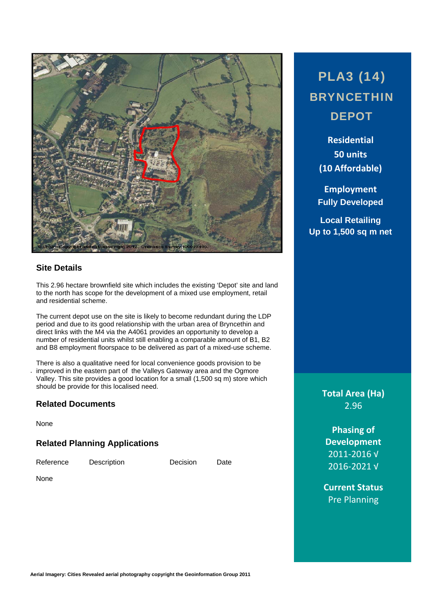

# **Site Details**

This 2.96 hectare brownfield site which includes the existing 'Depot' site and land to the north has scope for the development of a mixed use employment, retail and residential scheme.

The current depot use on the site is likely to become redundant during the LDP period and due to its good relationship with the urban area of Bryncethin and direct links with the M4 via the A4061 provides an opportunity to develop a number of residential units whilst still enabling a comparable amount of B1, B2 and B8 employment floorspace to be delivered as part of a mixed-use scheme.

. improved in the eastern part of the Valleys Gateway area and the Ogmore There is also a qualitative need for local convenience goods provision to be Valley. This site provides a good location for a small (1,500 sq m) store which should be provide for this localised need.

#### **Related Documents**

None

#### **Related Planning Applications**

Reference Description Decision Date

None

PLA3 (14) BRYNCETHIN **DEPOT** 

> **Residential 50 units (10 Affordable)**

**Employment Fully Developed**

**Local Retailing Up to 1,500 sq m net** 

> **Total Area (Ha)** 2.96

**Phasing of Development** 2011‐2016 √ 2016‐2021 √

**Current Status** Pre Planning